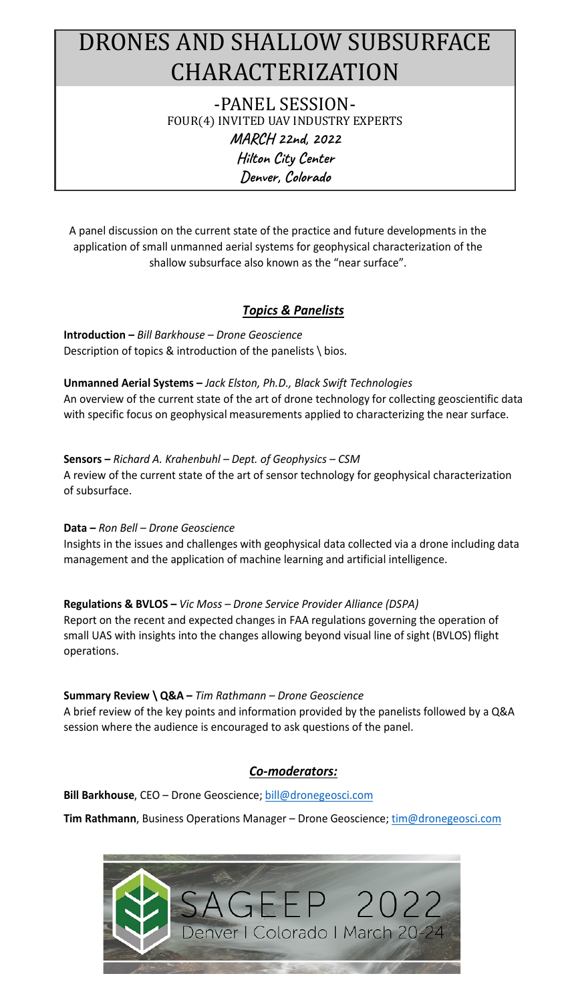### DRONES AND SHALLOW SUBSURFACE CHARACTERIZATION -PANEL SESSION-

FOUR(4) INVITED UAV INDUSTRY EXPERTS **MARCH 22nd, 2022 Hilton City Center Denver, Colorado**

A panel discussion on the current state of the practice and future developments in the application of small unmanned aerial systems for geophysical characterization of the shallow subsurface also known as the "near surface".

#### *Topics & Panelists*

**Introduction –** *Bill Barkhouse – Drone Geoscience* Description of topics & introduction of the panelists \ bios.

**Unmanned Aerial Systems –** *Jack Elston, Ph.D., Black Swift Technologies* An overview of the current state of the art of drone technology for collecting geoscientific data with specific focus on geophysical measurements applied to characterizing the near surface.

**Sensors –** *Richard A. Krahenbuhl – Dept. of Geophysics – CSM*

A review of the current state of the art of sensor technology for geophysical characterization of subsurface.

#### **Data –** *Ron Bell – Drone Geoscience*

Insights in the issues and challenges with geophysical data collected via a drone including data management and the application of machine learning and artificial intelligence.

#### **Regulations & BVLOS –** *Vic Moss – Drone Service Provider Alliance (DSPA)*

Report on the recent and expected changes in FAA regulations governing the operation of small UAS with insights into the changes allowing beyond visual line of sight (BVLOS) flight operations.

#### **Summary Review \ Q&A –** *Tim Rathmann – Drone Geoscience*

A brief review of the key points and information provided by the panelists followed by a Q&A session where the audience is encouraged to ask questions of the panel.

#### *Co-moderators:*

**Bill Barkhouse**, CEO – Drone Geoscience; bill@dronegeosci.com

**Tim Rathmann**, Business Operations Manager – Drone Geoscience; tim@dronegeosci.com